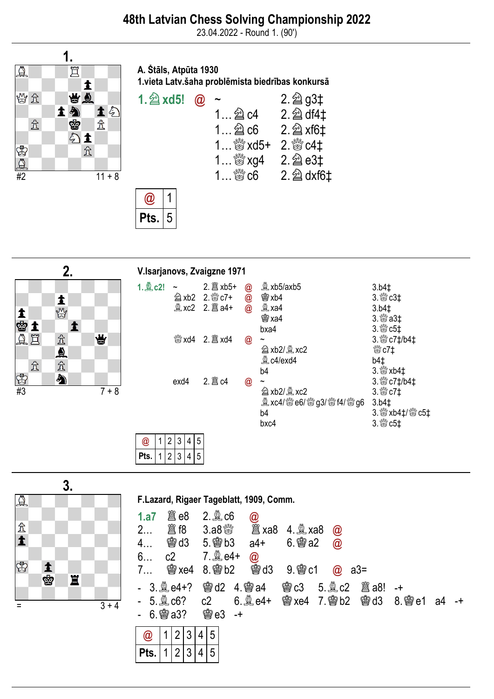23.04.2022 - Round 1. (90')



A. Štāls, Atpūta 1930 1.vieta Latv.šaha problēmista biedrības konkursā







|      |  | 3 | 4 | 5 |
|------|--|---|---|---|
| Pts. |  | J | 4 | 5 |



|  | <b>1.a7</b> $\ddot{\text{g}}$ e8 2. $\ddot{\text{g}}$ c6 $\ddot{\text{o}}$ |  |  |
|--|----------------------------------------------------------------------------|--|--|
|  |                                                                            |  |  |

F.Lazard, Rigaer Tageblatt, 1909, Comm.

- 4… ♔d3 5.♔b3 a4+ 6.♔a2 @ 6...  $c2$  7.  $\frac{30}{26}e4 + \frac{300}{26}$
- 7… ♔xe4 8.♔b2 ♔d3 9.♔c1 @ a3=
	- 3.♗e4+? ♔d2 4.♔a4 ♔c3 5.♗c2 ♖a8! -+
- 5. **③** c6? c2 6. ③ e4+ 密xe4 7. 窗b2 图d3 8. 窗 e1 a4 -+ <br>6. <del>窗</del> a3? 窗 e3 -+  $6.$  @  $a3?$

|    |  | - 4 |   |
|----|--|-----|---|
| ּש |  |     | L |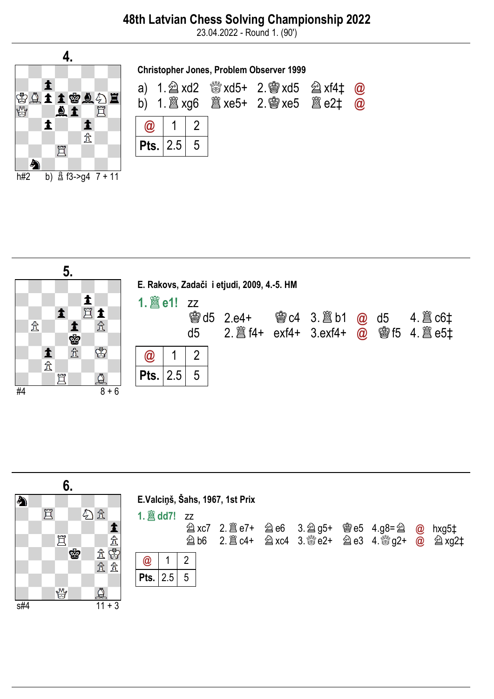## 48th Latvian Chess Solving Championship 2022

23.04.2022 - Round 1. (90')





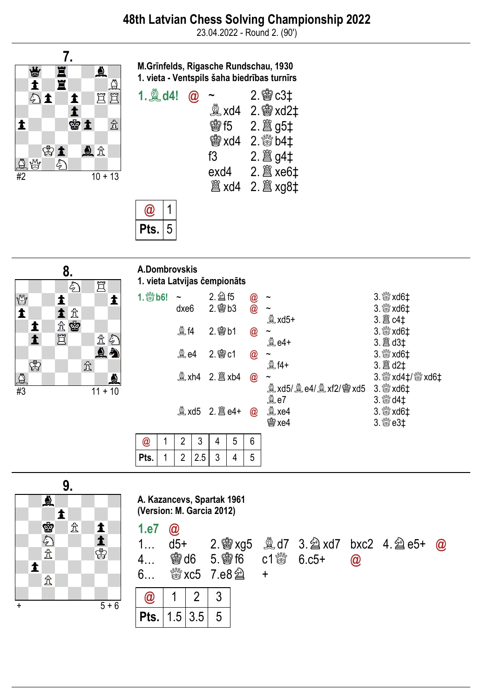23.04.2022 - Round 2. (90')



M.Grīnfelds, Rigasche Rundschau, 1930 1. vieta - Ventspils šaha biedrības turnīrs

| 1. <b>A</b> d4! | $\bm{\widehat a}$ |            | $2.$ 鬱 $c3$ ‡   |
|-----------------|-------------------|------------|-----------------|
|                 |                   | 奠 xd4      | 2. 窗 xd2‡       |
|                 |                   | <b>魯f5</b> | 2.  g5‡         |
|                 |                   | prixd4     | $2.$ $80/11$    |
|                 |                   | f3         |                 |
|                 |                   | exd4       |                 |
|                 |                   |            | <b>2.  xg8t</b> |
|                 |                   |            |                 |





| A.Dombrovskis<br>1. vieta Latvijas čempionāts |   |                            |   |             |   |               |                                       |                 |
|-----------------------------------------------|---|----------------------------|---|-------------|---|---------------|---------------------------------------|-----------------|
| $1.$ 3 b6!                                    |   | $\tilde{}$                 |   | $2.$ $2.6$  |   | $\bm{\omega}$ |                                       |                 |
|                                               |   | dxe <sub>6</sub>           |   | $2.$ 窗 $b3$ |   | $\circleda$   | $\mathbb{R}$ xd5+                     |                 |
|                                               |   | <b>夐f4</b>                 |   | $2.$ 窗 b1   |   | @             | $\tilde{\phantom{a}}$                 |                 |
|                                               |   |                            |   |             |   |               | 奠 e4+                                 |                 |
|                                               |   | $\mathbf{\mathfrak{A}}$ e4 |   | $2.$ 窗 $c1$ |   | @             | $\tilde{\phantom{a}}$<br><b>A</b> f4+ |                 |
|                                               |   |                            |   |             |   | @             | $\tilde{}$                            | 3. 5xd4‡/ 5xd6‡ |
|                                               |   |                            |   |             |   |               | 奠 xd5/ 奠 e4/ 奠 xf2/ 曾 xd5             | $3.$ $804$      |
|                                               |   |                            |   |             |   | @             | 奠e7<br>$^{\circledR}$ xe4             |                 |
|                                               |   |                            |   |             |   |               | 窗 xe4                                 |                 |
| @                                             | 1 | 2                          | 3 | 4           | 5 | 6             |                                       |                 |

|         |  |  | 6 |
|---------|--|--|---|
| $P$ ts. |  |  | n |



A. Kazancevs, Spartak 1961 (Version: M. Garcia 2012)

1.e7 @

|  |  | $4$ 鬱d6 5.鬱f6 c1鬱 6.c5+ @ |  |  |
|--|--|---------------------------|--|--|
|  |  |                           |  |  |